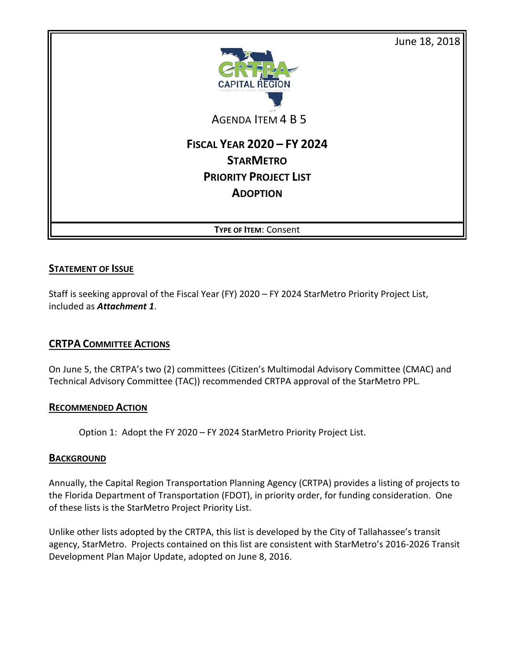June 18, 2018



AGENDA ITEM 4 B 5

# **FISCAL YEAR 2020 – FY 2024 STARMETRO PRIORITY PROJECT LIST ADOPTION**

**TYPE OF ITEM**: Consent

## **STATEMENT OF ISSUE**

Staff is seeking approval of the Fiscal Year (FY) 2020 – FY 2024 StarMetro Priority Project List, included as *Attachment 1*.

# **CRTPA COMMITTEE ACTIONS**

On June 5, the CRTPA's two (2) committees (Citizen's Multimodal Advisory Committee (CMAC) and Technical Advisory Committee (TAC)) recommended CRTPA approval of the StarMetro PPL.

#### **RECOMMENDED ACTION**

Option 1: Adopt the FY 2020 – FY 2024 StarMetro Priority Project List.

## **BACKGROUND**

Annually, the Capital Region Transportation Planning Agency (CRTPA) provides a listing of projects to the Florida Department of Transportation (FDOT), in priority order, for funding consideration. One of these lists is the StarMetro Project Priority List.

Unlike other lists adopted by the CRTPA, this list is developed by the City of Tallahassee's transit agency, StarMetro. Projects contained on this list are consistent with StarMetro's 2016-2026 Transit Development Plan Major Update, adopted on June 8, 2016.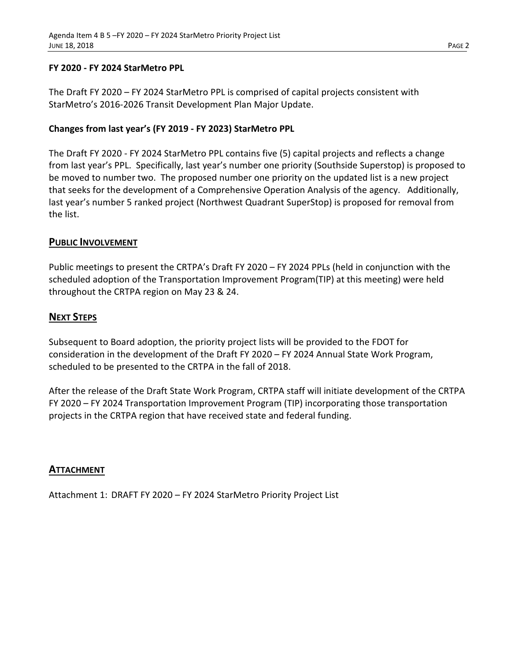#### **FY 2020 - FY 2024 StarMetro PPL**

The Draft FY 2020 – FY 2024 StarMetro PPL is comprised of capital projects consistent with StarMetro's 2016-2026 Transit Development Plan Major Update.

### **Changes from last year's (FY 2019 - FY 2023) StarMetro PPL**

The Draft FY 2020 - FY 2024 StarMetro PPL contains five (5) capital projects and reflects a change from last year's PPL. Specifically, last year's number one priority (Southside Superstop) is proposed to be moved to number two. The proposed number one priority on the updated list is a new project that seeks for the development of a Comprehensive Operation Analysis of the agency. Additionally, last year's number 5 ranked project (Northwest Quadrant SuperStop) is proposed for removal from the list.

#### **PUBLIC INVOLVEMENT**

Public meetings to present the CRTPA's Draft FY 2020 – FY 2024 PPLs (held in conjunction with the scheduled adoption of the Transportation Improvement Program(TIP) at this meeting) were held throughout the CRTPA region on May 23 & 24.

## **NEXT STEPS**

Subsequent to Board adoption, the priority project lists will be provided to the FDOT for consideration in the development of the Draft FY 2020 – FY 2024 Annual State Work Program, scheduled to be presented to the CRTPA in the fall of 2018.

After the release of the Draft State Work Program, CRTPA staff will initiate development of the CRTPA FY 2020 – FY 2024 Transportation Improvement Program (TIP) incorporating those transportation projects in the CRTPA region that have received state and federal funding.

#### **ATTACHMENT**

Attachment 1: DRAFT FY 2020 – FY 2024 StarMetro Priority Project List